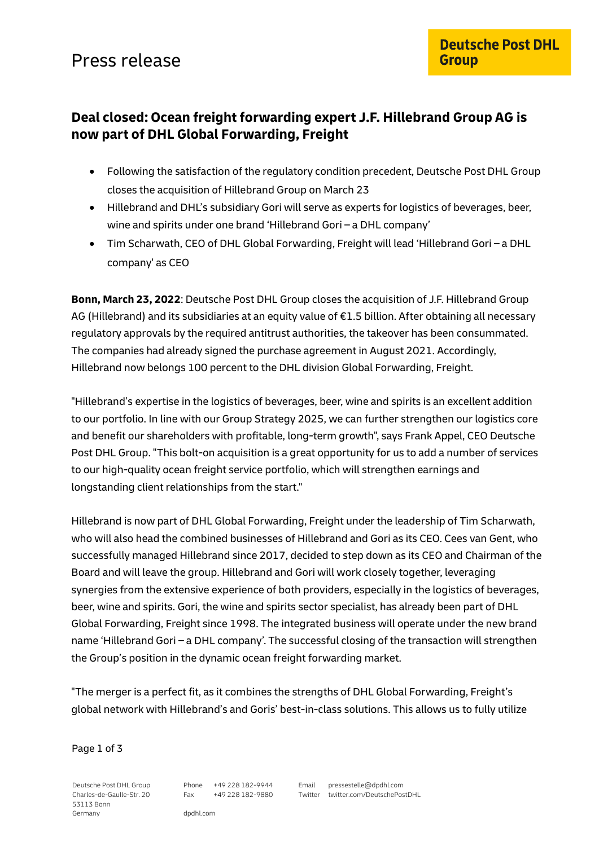## Press release

## **Deal closed: Ocean freight forwarding expert J.F. Hillebrand Group AG is now part of DHL Global Forwarding, Freight**

- Following the satisfaction of the regulatory condition precedent, Deutsche Post DHL Group closes the acquisition of Hillebrand Group on March 23
- Hillebrand and DHL's subsidiary Gori will serve as experts for logistics of beverages, beer, wine and spirits under one brand 'Hillebrand Gori – a DHL company'
- Tim Scharwath, CEO of DHL Global Forwarding, Freight will lead 'Hillebrand Gori a DHL company' as CEO

**Bonn, March 23, 2022**: Deutsche Post DHL Group closes the acquisition of J.F. Hillebrand Group AG (Hillebrand) and its subsidiaries at an equity value of €1.5 billion. After obtaining all necessary regulatory approvals by the required antitrust authorities, the takeover has been consummated. The companies had already signed the purchase agreement in August 2021. Accordingly, Hillebrand now belongs 100 percent to the DHL division Global Forwarding, Freight.

"Hillebrand's expertise in the logistics of beverages, beer, wine and spirits is an excellent addition to our portfolio. In line with our Group Strategy 2025, we can further strengthen our logistics core and benefit our shareholders with profitable, long-term growth", says Frank Appel, CEO Deutsche Post DHL Group. "This bolt-on acquisition is a great opportunity for us to add a number of services to our high-quality ocean freight service portfolio, which will strengthen earnings and longstanding client relationships from the start."

Hillebrand is now part of DHL Global Forwarding, Freight under the leadership of Tim Scharwath, who will also head the combined businesses of Hillebrand and Gori as its CEO. Cees van Gent, who successfully managed Hillebrand since 2017, decided to step down as its CEO and Chairman of the Board and will leave the group. Hillebrand and Gori will work closely together, leveraging synergies from the extensive experience of both providers, especially in the logistics of beverages, beer, wine and spirits. Gori, the wine and spirits sector specialist, has already been part of DHL Global Forwarding, Freight since 1998. The integrated business will operate under the new brand name 'Hillebrand Gori – a DHL company'. The successful closing of the transaction will strengthen the Group's position in the dynamic ocean freight forwarding market.

"The merger is a perfect fit, as it combines the strengths of DHL Global Forwarding, Freight's global network with Hillebrand's and Goris' best-in-class solutions. This allows us to fully utilize

Page 1 of 3

Deutsche Post DHL Group Charles-de-Gaulle-Str. 20 53113 Bonn Germany

Phone +49 228 182-9944 Fax +49 228 182-9880 Email pressestelle@dpdhl.com Twitter twitter.com/DeutschePostDHL

dpdhl.com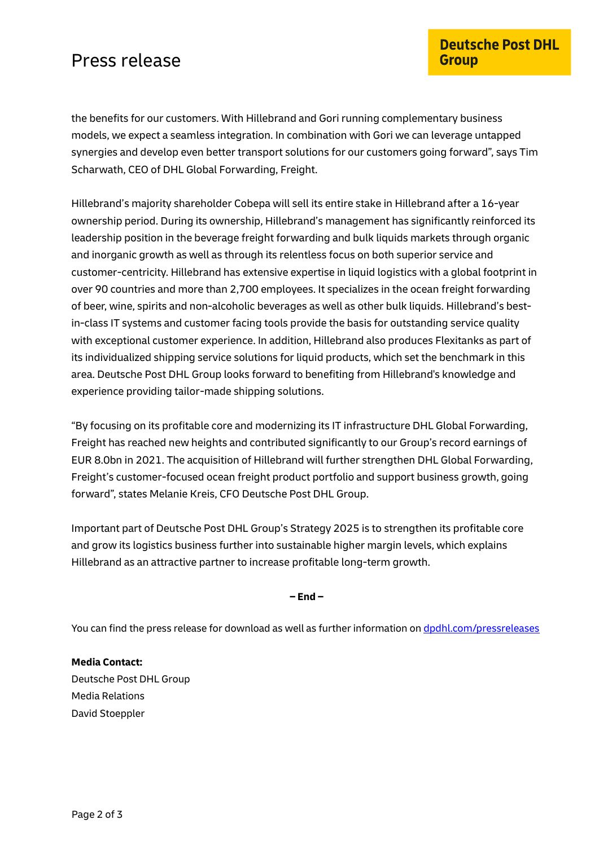## Press release

the benefits for our customers. With Hillebrand and Gori running complementary business models, we expect a seamless integration. In combination with Gori we can leverage untapped synergies and develop even better transport solutions for our customers going forward", says Tim Scharwath, CEO of DHL Global Forwarding, Freight.

Hillebrand's majority shareholder Cobepa will sell its entire stake in Hillebrand after a 16-year ownership period. During its ownership, Hillebrand's management has significantly reinforced its leadership position in the beverage freight forwarding and bulk liquids markets through organic and inorganic growth as well as through its relentless focus on both superior service and customer-centricity. Hillebrand has extensive expertise in liquid logistics with a global footprint in over 90 countries and more than 2,700 employees. It specializes in the ocean freight forwarding of beer, wine, spirits and non-alcoholic beverages as well as other bulk liquids. Hillebrand's bestin-class IT systems and customer facing tools provide the basis for outstanding service quality with exceptional customer experience. In addition, Hillebrand also produces Flexitanks as part of its individualized shipping service solutions for liquid products, which set the benchmark in this area. Deutsche Post DHL Group looks forward to benefiting from Hillebrand's knowledge and experience providing tailor-made shipping solutions.

"By focusing on its profitable core and modernizing its IT infrastructure DHL Global Forwarding, Freight has reached new heights and contributed significantly to our Group's record earnings of EUR 8.0bn in 2021. The acquisition of Hillebrand will further strengthen DHL Global Forwarding, Freight's customer-focused ocean freight product portfolio and support business growth, going forward", states Melanie Kreis, CFO Deutsche Post DHL Group.

Important part of Deutsche Post DHL Group's Strategy 2025 is to strengthen its profitable core and grow its logistics business further into sustainable higher margin levels, which explains Hillebrand as an attractive partner to increase profitable long-term growth.

**– End –**

You can find the press release for download as well as further information on [dpdhl.com/pressreleases](https://www.dpdhl.com/pressreleases)

**Media Contact:**  Deutsche Post DHL Group Media Relations David Stoeppler